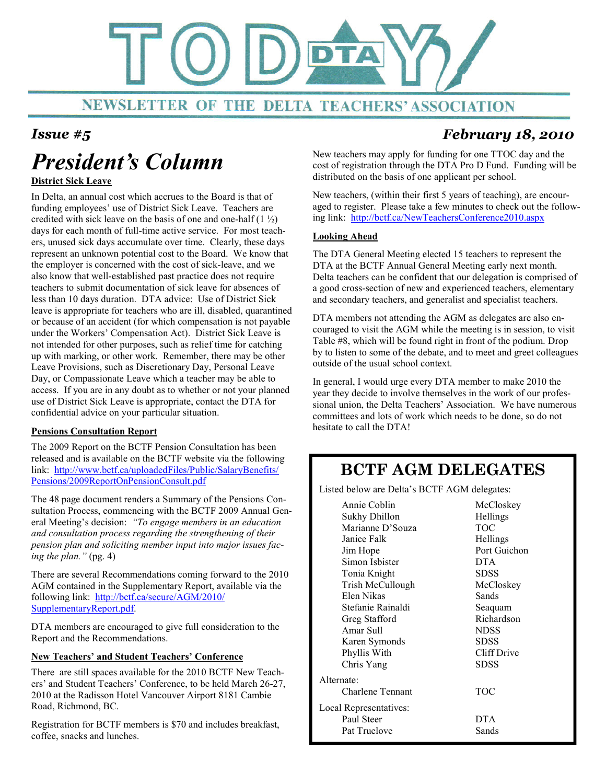

# President's Column

### District Sick Leave

In Delta, an annual cost which accrues to the Board is that of funding employees' use of District Sick Leave. Teachers are credited with sick leave on the basis of one and one-half  $(1 \frac{1}{2})$ days for each month of full-time active service. For most teachers, unused sick days accumulate over time. Clearly, these days represent an unknown potential cost to the Board. We know that the employer is concerned with the cost of sick-leave, and we also know that well-established past practice does not require teachers to submit documentation of sick leave for absences of less than 10 days duration. DTA advice: Use of District Sick leave is appropriate for teachers who are ill, disabled, quarantined or because of an accident (for which compensation is not payable under the Workers' Compensation Act). District Sick Leave is not intended for other purposes, such as relief time for catching up with marking, or other work. Remember, there may be other Leave Provisions, such as Discretionary Day, Personal Leave Day, or Compassionate Leave which a teacher may be able to access. If you are in any doubt as to whether or not your planned use of District Sick Leave is appropriate, contact the DTA for confidential advice on your particular situation.

### Pensions Consultation Report

The 2009 Report on the BCTF Pension Consultation has been released and is available on the BCTF website via the following link: http://www.bctf.ca/uploadedFiles/Public/SalaryBenefits/ Pensions/2009ReportOnPensionConsult.pdf

The 48 page document renders a Summary of the Pensions Consultation Process, commencing with the BCTF 2009 Annual General Meeting's decision: "To engage members in an education and consultation process regarding the strengthening of their pension plan and soliciting member input into major issues facing the plan." (pg. 4)

There are several Recommendations coming forward to the 2010 AGM contained in the Supplementary Report, available via the following link: http://bctf.ca/secure/AGM/2010/ SupplementaryReport.pdf.

DTA members are encouraged to give full consideration to the Report and the Recommendations.

### New Teachers' and Student Teachers' Conference

There are still spaces available for the 2010 BCTF New Teachers' and Student Teachers' Conference, to be held March 26-27, 2010 at the Radisson Hotel Vancouver Airport 8181 Cambie Road, Richmond, BC.

Registration for BCTF members is \$70 and includes breakfast, coffee, snacks and lunches.

## Issue #5 February 18, 2010

New teachers may apply for funding for one TTOC day and the cost of registration through the DTA Pro D Fund. Funding will be distributed on the basis of one applicant per school.

New teachers, (within their first 5 years of teaching), are encouraged to register. Please take a few minutes to check out the following link: http://bctf.ca/NewTeachersConference2010.aspx

### Looking Ahead

The DTA General Meeting elected 15 teachers to represent the DTA at the BCTF Annual General Meeting early next month. Delta teachers can be confident that our delegation is comprised of a good cross-section of new and experienced teachers, elementary and secondary teachers, and generalist and specialist teachers.

DTA members not attending the AGM as delegates are also encouraged to visit the AGM while the meeting is in session, to visit Table #8, which will be found right in front of the podium. Drop by to listen to some of the debate, and to meet and greet colleagues outside of the usual school context.

In general, I would urge every DTA member to make 2010 the year they decide to involve themselves in the work of our professional union, the Delta Teachers' Association. We have numerous committees and lots of work which needs to be done, so do not hesitate to call the DTA!

## BCTF AGM DELEGATES

Listed below are Delta's BCTF AGM delegates:

|                        | Annie Coblin      | McCloskey    |
|------------------------|-------------------|--------------|
|                        | Sukhy Dhillon     | Hellings     |
|                        | Marianne D'Souza  | <b>TOC</b>   |
|                        | Janice Falk       | Hellings     |
|                        | Jim Hope          | Port Guichon |
|                        | Simon Ishister    | <b>DTA</b>   |
|                        | Tonia Knight      | <b>SDSS</b>  |
|                        | Trish McCullough  | McCloskey    |
|                        | Elen Nikas        | Sands        |
|                        | Stefanie Rainaldi | Seaquam      |
|                        | Greg Stafford     | Richardson   |
|                        | Amar Sull         | <b>NDSS</b>  |
|                        | Karen Symonds     | SDSS         |
|                        | Phyllis With      | Cliff Drive  |
|                        | Chris Yang        | SDSS         |
| Alternate:             |                   |              |
|                        | Charlene Tennant  | <b>TOC</b>   |
| Local Representatives: |                   |              |
|                        | Paul Steer        | <b>DTA</b>   |
|                        | Pat Truelove      | Sands        |
|                        |                   |              |